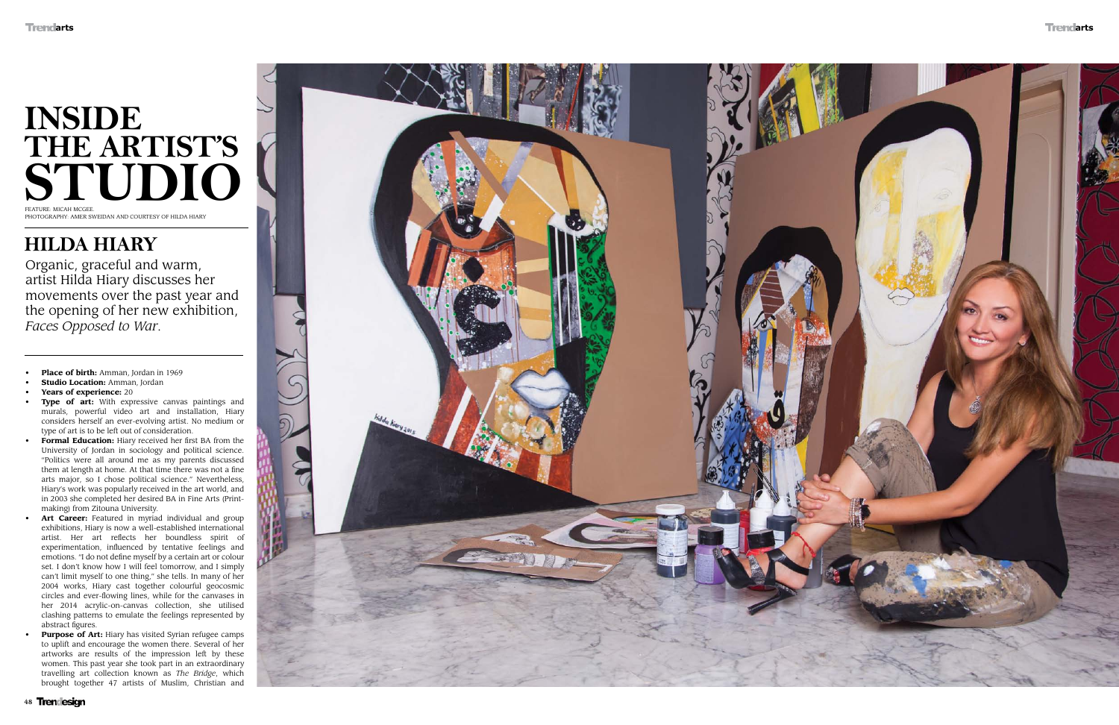## **INSIDE THE ARTIST'S STUDIO** Feature: Micah McGee. PHOTOGRAPHY: AMER SWEIDAN AND COURTESY OF HILDA HIARY

## **Hilda Hiary**

Organic, graceful and warm, artist Hilda Hiary discusses her movements over the past year and the opening of her new exhibition, *Faces Opposed to War* .

- **• Place of birth:** Amman, Jordan in 1969
- **• Studio Location:** Amman, Jordan
- **• Years of experience:** 20
- **• Type of art:** With expressive canvas paintings and murals, powerful video art and installation, Hiary considers herself an ever-evolving artist. No medium or type of art is to be left out of consideration.
- **• Formal Education:** Hiary received her first B A from the University of Jordan in sociology and political science. "Politics were all around me as my parents discussed them at length at home. At that time there was not a fine arts major, so I chose political science." Nevertheless, Hiary's work was popularly received in the art world, and in 2003 she completed her desired B A in Fine Arts (Printmaking) from Zitouna University.
- Art Career: Featured in myriad individual and group exhibitions, Hiary is now a well-established international artist. Her art reflects her boundless spirit of experimentation, influenced by tentative feelings and emotions. " I do not define myself by a certain art or colour set. I don't know how I will feel tomorrow, and I simply can't limit myself to one thing," she tells. In many of her 2004 works, Hiary cast together colourful geocosmic circles and ever-flowing lines, while for the canvases in her 2014 acrylic-on-canvas collection, she utilised clashing patterns to emulate the feelings represented by abstract figures.
- **• Purpose of Art:** Hiary has visited Syrian refugee camps to uplift and encourage the women there. Several of her artworks are results of the impression left by these women. This past year she took part in an extraordinary travelling art collection known as *The Bridge*, which brought together 47 artists of Muslim, Christian and